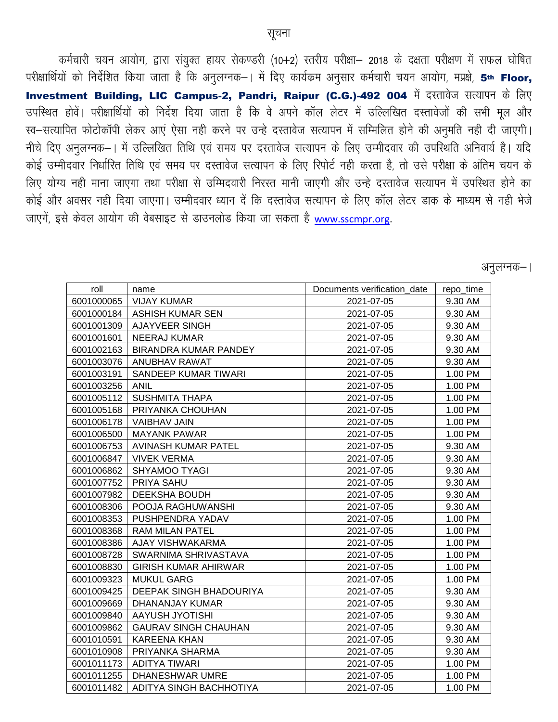कर्मचारी चयन आयोग, द्वारा संयुक्त हायर सेकण्डरी (10+2) स्तरीय परीक्षा– 2018 के दक्षता परीक्षण में सफल घोषित परीक्षार्थियों को निर्देशित किया जाता है कि अनुलग्नक–। में दिए कार्यक्रम अनुसार कर्मचारी चयन आयोग, मप्रक्षे, 5th Floor, Investment Building, LIC Campus-2, Pandri, Raipur (C.G.)-492 004 में दस्तावेज सत्यापन के लिए उपस्थित होवें। परीक्षार्थियों को निर्देश दिया जाता है कि वे अपने कॉल लेटर में उल्लिखित दस्तावेजों की सभी मूल और रव-सत्यापित फोटोकॉपी लेकर आएं ऐसा नही करने पर उन्हे दस्तावेज सत्यापन में सम्मिलित होने की अनुमति नही दी जाएगी। नीचे दिए अनुलग्नक–। में उल्लिखित तिथि एवं समय पर दस्तावेज सत्यापन के लिए उम्मीदवार की उपस्थिति अनिवार्य है। यदि कोई उम्मीदवार निर्धारित तिथि एवं समय पर दस्तावेज सत्यापन के लिए रिपोर्ट नही करता है, तो उसे परीक्षा के अंतिम चयन के लिए योग्य नही माना जाएगा तथा परीक्षा से उम्मिदवारी निरस्त मानी जाएगी और उन्हे दस्तावेज सत्यापन में उपस्थित होने का कोई और अवसर नही दिया जाएगा। उम्मीदवार ध्यान दें कि दस्तावेज सत्यापन के लिए कॉल लेटर डाक के माध्यम से नही भेजे जाएगें, इसे केवल आयोग की वेबसाइट से डाउनलोड किया जा सकता है [www.sscmpr.org.](http://www.sscmpr.org/)

| नलग्नक<br>۰ہد; |  |
|----------------|--|
|                |  |
|                |  |

| roll       | name                        | Documents verification date | repo_time |
|------------|-----------------------------|-----------------------------|-----------|
| 6001000065 | <b>VIJAY KUMAR</b>          | 2021-07-05                  | 9.30 AM   |
| 6001000184 | <b>ASHISH KUMAR SEN</b>     | 2021-07-05                  | 9.30 AM   |
| 6001001309 | AJAYVEER SINGH              | 2021-07-05                  | 9.30 AM   |
| 6001001601 | <b>NEERAJ KUMAR</b>         | 2021-07-05                  | 9.30 AM   |
| 6001002163 | BIRANDRA KUMAR PANDEY       | 2021-07-05                  | 9.30 AM   |
| 6001003076 | ANUBHAV RAWAT               | 2021-07-05                  | 9.30 AM   |
| 6001003191 | SANDEEP KUMAR TIWARI        | 2021-07-05                  | 1.00 PM   |
| 6001003256 | <b>ANIL</b>                 | 2021-07-05                  | 1.00 PM   |
| 6001005112 | <b>SUSHMITA THAPA</b>       | 2021-07-05                  | 1.00 PM   |
| 6001005168 | PRIYANKA CHOUHAN            | 2021-07-05                  | 1.00 PM   |
| 6001006178 | <b>VAIBHAV JAIN</b>         | 2021-07-05                  | 1.00 PM   |
| 6001006500 | <b>MAYANK PAWAR</b>         | 2021-07-05                  | 1.00 PM   |
| 6001006753 | AVINASH KUMAR PATEL         | 2021-07-05                  | 9.30 AM   |
| 6001006847 | <b>VIVEK VERMA</b>          | 2021-07-05                  | 9.30 AM   |
| 6001006862 | <b>SHYAMOO TYAGI</b>        | 2021-07-05                  | 9.30 AM   |
| 6001007752 | PRIYA SAHU                  | 2021-07-05                  | 9.30 AM   |
| 6001007982 | DEEKSHA BOUDH               | 2021-07-05                  | 9.30 AM   |
| 6001008306 | POOJA RAGHUWANSHI           | 2021-07-05                  | 9.30 AM   |
| 6001008353 | PUSHPENDRA YADAV            | 2021-07-05                  | 1.00 PM   |
| 6001008368 | <b>RAM MILAN PATEL</b>      | 2021-07-05                  | 1.00 PM   |
| 6001008386 | AJAY VISHWAKARMA            | 2021-07-05                  | 1.00 PM   |
| 6001008728 | SWARNIMA SHRIVASTAVA        | 2021-07-05                  | 1.00 PM   |
| 6001008830 | <b>GIRISH KUMAR AHIRWAR</b> | 2021-07-05                  | 1.00 PM   |
| 6001009323 | <b>MUKUL GARG</b>           | 2021-07-05                  | 1.00 PM   |
| 6001009425 | DEEPAK SINGH BHADOURIYA     | 2021-07-05                  | 9.30 AM   |
| 6001009669 | DHANANJAY KUMAR             | 2021-07-05                  | 9.30 AM   |
| 6001009840 | AAYUSH JYOTISHI             | 2021-07-05                  | 9.30 AM   |
| 6001009862 | <b>GAURAV SINGH CHAUHAN</b> | 2021-07-05                  | 9.30 AM   |
| 6001010591 | <b>KAREENA KHAN</b>         | 2021-07-05                  | 9.30 AM   |
| 6001010908 | PRIYANKA SHARMA             | 2021-07-05                  | 9.30 AM   |
| 6001011173 | <b>ADITYA TIWARI</b>        | 2021-07-05                  | 1.00 PM   |
| 6001011255 | DHANESHWAR UMRE             | 2021-07-05                  | 1.00 PM   |
| 6001011482 | ADITYA SINGH BACHHOTIYA     | 2021-07-05                  | 1.00 PM   |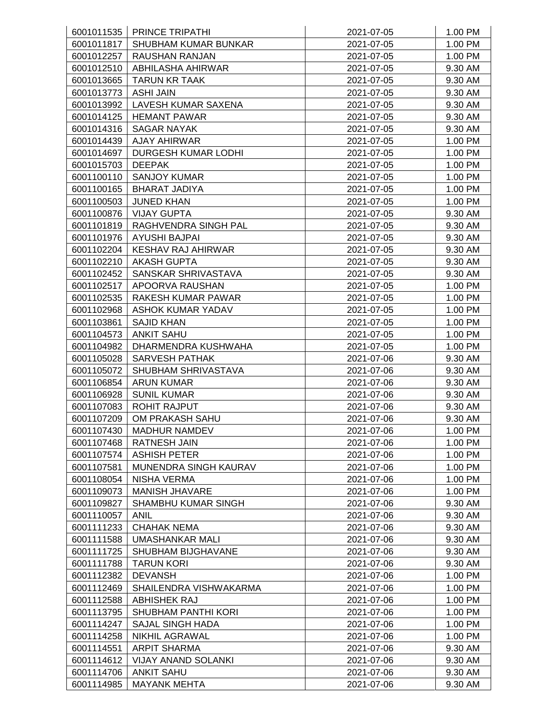|            | 6001011535   PRINCE TRIPATHI | 2021-07-05 | 1.00 PM |
|------------|------------------------------|------------|---------|
| 6001011817 | SHUBHAM KUMAR BUNKAR         | 2021-07-05 | 1.00 PM |
| 6001012257 | <b>RAUSHAN RANJAN</b>        | 2021-07-05 | 1.00 PM |
| 6001012510 | ABHILASHA AHIRWAR            | 2021-07-05 | 9.30 AM |
| 6001013665 | TARUN KR TAAK                | 2021-07-05 | 9.30 AM |
| 6001013773 | <b>ASHI JAIN</b>             | 2021-07-05 | 9.30 AM |
| 6001013992 | LAVESH KUMAR SAXENA          | 2021-07-05 | 9.30 AM |
| 6001014125 | <b>HEMANT PAWAR</b>          | 2021-07-05 | 9.30 AM |
| 6001014316 | <b>SAGAR NAYAK</b>           | 2021-07-05 | 9.30 AM |
|            | 6001014439   AJAY AHIRWAR    | 2021-07-05 | 1.00 PM |
| 6001014697 | <b>DURGESH KUMAR LODHI</b>   | 2021-07-05 | 1.00 PM |
| 6001015703 | <b>DEEPAK</b>                | 2021-07-05 | 1.00 PM |
| 6001100110 | <b>SANJOY KUMAR</b>          | 2021-07-05 | 1.00 PM |
| 6001100165 | <b>BHARAT JADIYA</b>         | 2021-07-05 | 1.00 PM |
| 6001100503 | <b>JUNED KHAN</b>            | 2021-07-05 | 1.00 PM |
| 6001100876 | <b>VIJAY GUPTA</b>           | 2021-07-05 | 9.30 AM |
| 6001101819 | RAGHVENDRA SINGH PAL         | 2021-07-05 | 9.30 AM |
| 6001101976 | AYUSHI BAJPAI                | 2021-07-05 | 9.30 AM |
| 6001102204 | <b>KESHAV RAJ AHIRWAR</b>    | 2021-07-05 | 9.30 AM |
| 6001102210 | <b>AKASH GUPTA</b>           | 2021-07-05 | 9.30 AM |
| 6001102452 | SANSKAR SHRIVASTAVA          | 2021-07-05 | 9.30 AM |
| 6001102517 | APOORVA RAUSHAN              | 2021-07-05 | 1.00 PM |
| 6001102535 | RAKESH KUMAR PAWAR           | 2021-07-05 | 1.00 PM |
| 6001102968 | <b>ASHOK KUMAR YADAV</b>     | 2021-07-05 | 1.00 PM |
| 6001103861 | <b>SAJID KHAN</b>            | 2021-07-05 | 1.00 PM |
| 6001104573 | <b>ANKIT SAHU</b>            | 2021-07-05 | 1.00 PM |
| 6001104982 | DHARMENDRA KUSHWAHA          | 2021-07-05 | 1.00 PM |
| 6001105028 | <b>SARVESH PATHAK</b>        | 2021-07-06 | 9.30 AM |
| 6001105072 | SHUBHAM SHRIVASTAVA          | 2021-07-06 | 9.30 AM |
| 6001106854 | <b>ARUN KUMAR</b>            | 2021-07-06 | 9.30 AM |
| 6001106928 | <b>SUNIL KUMAR</b>           | 2021-07-06 | 9.30 AM |
| 6001107083 | <b>ROHIT RAJPUT</b>          | 2021-07-06 | 9.30 AM |
| 6001107209 | OM PRAKASH SAHU              | 2021-07-06 | 9.30 AM |
| 6001107430 | <b>MADHUR NAMDEV</b>         | 2021-07-06 | 1.00 PM |
| 6001107468 | <b>RATNESH JAIN</b>          | 2021-07-06 | 1.00 PM |
| 6001107574 | <b>ASHISH PETER</b>          | 2021-07-06 | 1.00 PM |
| 6001107581 | MUNENDRA SINGH KAURAV        | 2021-07-06 | 1.00 PM |
| 6001108054 | <b>NISHA VERMA</b>           | 2021-07-06 | 1.00 PM |
| 6001109073 | <b>MANISH JHAVARE</b>        | 2021-07-06 | 1.00 PM |
| 6001109827 | SHAMBHU KUMAR SINGH          | 2021-07-06 | 9.30 AM |
| 6001110057 | <b>ANIL</b>                  | 2021-07-06 | 9.30 AM |
| 6001111233 | <b>CHAHAK NEMA</b>           | 2021-07-06 | 9.30 AM |
| 6001111588 | UMASHANKAR MALI              | 2021-07-06 | 9.30 AM |
| 6001111725 | SHUBHAM BIJGHAVANE           | 2021-07-06 | 9.30 AM |
| 6001111788 | <b>TARUN KORI</b>            | 2021-07-06 | 9.30 AM |
| 6001112382 | <b>DEVANSH</b>               | 2021-07-06 | 1.00 PM |
| 6001112469 | SHAILENDRA VISHWAKARMA       | 2021-07-06 | 1.00 PM |
| 6001112588 | <b>ABHISHEK RAJ</b>          | 2021-07-06 | 1.00 PM |
| 6001113795 | <b>SHUBHAM PANTHI KORI</b>   | 2021-07-06 | 1.00 PM |
| 6001114247 | <b>SAJAL SINGH HADA</b>      | 2021-07-06 | 1.00 PM |
| 6001114258 | NIKHIL AGRAWAL               | 2021-07-06 | 1.00 PM |
| 6001114551 | <b>ARPIT SHARMA</b>          | 2021-07-06 | 9.30 AM |
| 6001114612 | <b>VIJAY ANAND SOLANKI</b>   | 2021-07-06 | 9.30 AM |
| 6001114706 | <b>ANKIT SAHU</b>            | 2021-07-06 | 9.30 AM |
| 6001114985 | <b>MAYANK MEHTA</b>          | 2021-07-06 | 9.30 AM |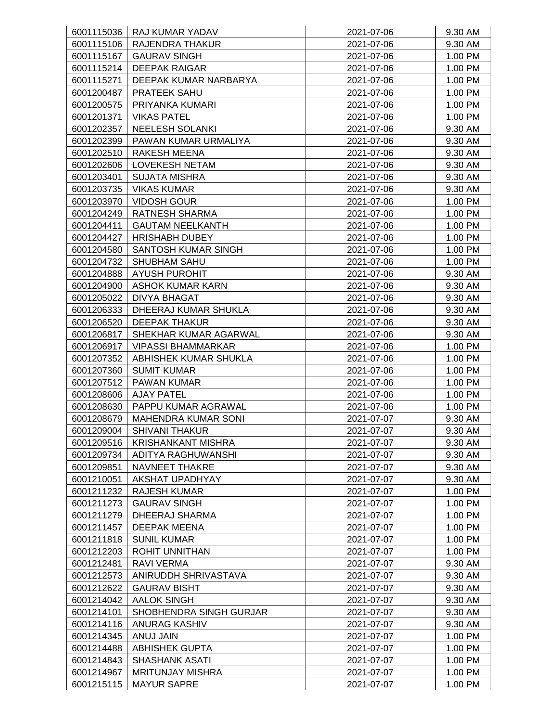| 6001115036               | RAJ KUMAR YADAV                             | 2021-07-06               | 9.30 AM            |
|--------------------------|---------------------------------------------|--------------------------|--------------------|
| 6001115106               | <b>RAJENDRA THAKUR</b>                      | 2021-07-06               | 9.30 AM            |
| 6001115167               | <b>GAURAV SINGH</b>                         | 2021-07-06               | 1.00 PM            |
| 6001115214               | <b>DEEPAK RAIGAR</b>                        | 2021-07-06               | 1.00 PM            |
| 6001115271               | DEEPAK KUMAR NARBARYA                       | 2021-07-06               | 1.00 PM            |
| 6001200487               | PRATEEK SAHU                                | 2021-07-06               | 1.00 PM            |
| 6001200575               | PRIYANKA KUMARI                             | 2021-07-06               | 1.00 PM            |
| 6001201371               | <b>VIKAS PATEL</b>                          | 2021-07-06               | 1.00 PM            |
| 6001202357               | <b>NEELESH SOLANKI</b>                      | 2021-07-06               | 9.30 AM            |
| 6001202399               | PAWAN KUMAR URMALIYA                        | 2021-07-06               | 9.30 AM            |
| 6001202510               | <b>RAKESH MEENA</b>                         | 2021-07-06               | 9.30 AM            |
| 6001202606               | <b>LOVEKESH NETAM</b>                       | 2021-07-06               | 9.30 AM            |
| 6001203401               | <b>SUJATA MISHRA</b>                        | 2021-07-06               | 9.30 AM            |
| 6001203735               | <b>VIKAS KUMAR</b>                          | 2021-07-06               | 9.30 AM            |
| 6001203970               | <b>VIDOSH GOUR</b>                          | 2021-07-06               | 1.00 PM            |
| 6001204249               | <b>RATNESH SHARMA</b>                       | 2021-07-06               | 1.00 PM            |
| 6001204411               | <b>GAUTAM NEELKANTH</b>                     | 2021-07-06               | 1.00 PM            |
| 6001204427               | <b>HRISHABH DUBEY</b>                       | 2021-07-06               | 1.00 PM            |
| 6001204580               | SANTOSH KUMAR SINGH                         | 2021-07-06               | 1.00 PM            |
| 6001204732               | <b>SHUBHAM SAHU</b>                         | 2021-07-06               | 1.00 PM            |
| 6001204888               | <b>AYUSH PUROHIT</b>                        | 2021-07-06               | 9.30 AM            |
| 6001204900               | <b>ASHOK KUMAR KARN</b>                     | 2021-07-06               | 9.30 AM            |
| 6001205022               | DIVYA BHAGAT                                | 2021-07-06               | 9.30 AM            |
| 6001206333               | DHEERAJ KUMAR SHUKLA                        | 2021-07-06               | 9.30 AM            |
| 6001206520               | <b>DEEPAK THAKUR</b>                        | 2021-07-06               | 9.30 AM            |
| 6001206817               | SHEKHAR KUMAR AGARWAL                       | 2021-07-06               | 9.30 AM            |
| 6001206917               | <b>VIPASSI BHAMMARKAR</b>                   | 2021-07-06               | 1.00 PM            |
| 6001207352               | ABHISHEK KUMAR SHUKLA                       | 2021-07-06               | 1.00 PM            |
| 6001207360               | <b>SUMIT KUMAR</b>                          | 2021-07-06               | 1.00 PM            |
| 6001207512               | <b>PAWAN KUMAR</b>                          | 2021-07-06               | 1.00 PM            |
| 6001208606               | <b>AJAY PATEL</b>                           | 2021-07-06               | 1.00 PM            |
| 6001208630               | PAPPU KUMAR AGRAWAL                         | 2021-07-06               | 1.00 PM            |
| 6001208679               | MAHENDRA KUMAR SONI                         | 2021-07-07               | 9.30 AM            |
| 6001209004               | <b>SHIVANI THAKUR</b>                       | 2021-07-07               | 9.30 AM            |
| 6001209516               | <b>KRISHANKANT MISHRA</b>                   | 2021-07-07               | 9.30 AM            |
| 6001209734               | ADITYA RAGHUWANSHI                          | 2021-07-07               | 9.30 AM            |
| 6001209851               | NAVNEET THAKRE                              | 2021-07-07               | 9.30 AM            |
| 6001210051               | AKSHAT UPADHYAY                             | 2021-07-07               | 9.30 AM            |
| 6001211232               | RAJESH KUMAR                                | 2021-07-07               | 1.00 PM            |
| 6001211273               | <b>GAURAV SINGH</b>                         | 2021-07-07               | 1.00 PM            |
| 6001211279               | <b>DHEERAJ SHARMA</b>                       | 2021-07-07               | 1.00 PM            |
|                          | DEEPAK MEENA                                |                          | 1.00 PM            |
| 6001211457<br>6001211818 | <b>SUNIL KUMAR</b>                          | 2021-07-07<br>2021-07-07 | 1.00 PM            |
| 6001212203               | ROHIT UNNITHAN                              | 2021-07-07               | 1.00 PM            |
| 6001212481               | <b>RAVI VERMA</b>                           | 2021-07-07               | 9.30 AM            |
|                          |                                             |                          |                    |
| 6001212573<br>6001212622 | ANIRUDDH SHRIVASTAVA<br><b>GAURAV BISHT</b> | 2021-07-07<br>2021-07-07 | 9.30 AM<br>9.30 AM |
| 6001214042               | <b>AALOK SINGH</b>                          | 2021-07-07               | 9.30 AM            |
|                          | SHOBHENDRA SINGH GURJAR                     |                          |                    |
| 6001214101               |                                             | 2021-07-07               | 9.30 AM            |
| 6001214116               | <b>ANURAG KASHIV</b>                        | 2021-07-07               | 9.30 AM            |
| 6001214345               | ANUJ JAIN                                   | 2021-07-07               | 1.00 PM            |
| 6001214488               | <b>ABHISHEK GUPTA</b>                       | 2021-07-07               | 1.00 PM            |
| 6001214843               | SHASHANK ASATI                              | 2021-07-07               | 1.00 PM            |
| 6001214967               | <b>MRITUNJAY MISHRA</b>                     | 2021-07-07               | 1.00 PM            |
| 6001215115               | <b>MAYUR SAPRE</b>                          | 2021-07-07               | 1.00 PM            |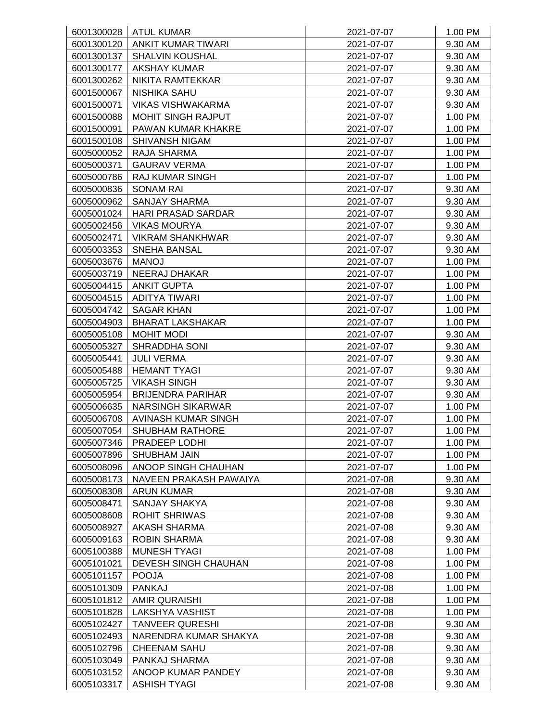| 6001300028 | <b>ATUL KUMAR</b>           | 2021-07-07 | 1.00 PM |
|------------|-----------------------------|------------|---------|
| 6001300120 | <b>ANKIT KUMAR TIWARI</b>   | 2021-07-07 | 9.30 AM |
| 6001300137 | <b>SHALVIN KOUSHAL</b>      | 2021-07-07 | 9.30 AM |
| 6001300177 | <b>AKSHAY KUMAR</b>         | 2021-07-07 | 9.30 AM |
| 6001300262 | NIKITA RAMTEKKAR            | 2021-07-07 | 9.30 AM |
| 6001500067 | <b>NISHIKA SAHU</b>         | 2021-07-07 | 9.30 AM |
| 6001500071 | <b>VIKAS VISHWAKARMA</b>    | 2021-07-07 | 9.30 AM |
| 6001500088 | MOHIT SINGH RAJPUT          | 2021-07-07 | 1.00 PM |
| 6001500091 | PAWAN KUMAR KHAKRE          | 2021-07-07 | 1.00 PM |
| 6001500108 | <b>SHIVANSH NIGAM</b>       | 2021-07-07 | 1.00 PM |
| 6005000052 | RAJA SHARMA                 | 2021-07-07 | 1.00 PM |
| 6005000371 | <b>GAURAV VERMA</b>         | 2021-07-07 | 1.00 PM |
| 6005000786 | <b>RAJ KUMAR SINGH</b>      | 2021-07-07 | 1.00 PM |
| 6005000836 | <b>SONAM RAI</b>            | 2021-07-07 | 9.30 AM |
| 6005000962 | <b>SANJAY SHARMA</b>        | 2021-07-07 | 9.30 AM |
| 6005001024 | <b>HARI PRASAD SARDAR</b>   | 2021-07-07 | 9.30 AM |
| 6005002456 | <b>VIKAS MOURYA</b>         | 2021-07-07 | 9.30 AM |
| 6005002471 | <b>VIKRAM SHANKHWAR</b>     | 2021-07-07 | 9.30 AM |
| 6005003353 | <b>SNEHA BANSAL</b>         | 2021-07-07 | 9.30 AM |
| 6005003676 | <b>MANOJ</b>                | 2021-07-07 | 1.00 PM |
| 6005003719 | <b>NEERAJ DHAKAR</b>        | 2021-07-07 | 1.00 PM |
| 6005004415 | <b>ANKIT GUPTA</b>          | 2021-07-07 | 1.00 PM |
| 6005004515 | <b>ADITYA TIWARI</b>        | 2021-07-07 | 1.00 PM |
| 6005004742 | <b>SAGAR KHAN</b>           | 2021-07-07 | 1.00 PM |
| 6005004903 | <b>BHARAT LAKSHAKAR</b>     | 2021-07-07 | 1.00 PM |
| 6005005108 | <b>MOHIT MODI</b>           | 2021-07-07 | 9.30 AM |
| 6005005327 | SHRADDHA SONI               | 2021-07-07 | 9.30 AM |
| 6005005441 | <b>JULI VERMA</b>           | 2021-07-07 | 9.30 AM |
| 6005005488 | <b>HEMANT TYAGI</b>         | 2021-07-07 | 9.30 AM |
| 6005005725 | <b>VIKASH SINGH</b>         | 2021-07-07 | 9.30 AM |
| 6005005954 | <b>BRIJENDRA PARIHAR</b>    | 2021-07-07 | 9.30 AM |
| 6005006635 | <b>NARSINGH SIKARWAR</b>    | 2021-07-07 | 1.00 PM |
| 6005006708 | AVINASH KUMAR SINGH         | 2021-07-07 | 1.00 PM |
| 6005007054 | <b>SHUBHAM RATHORE</b>      | 2021-07-07 | 1.00 PM |
| 6005007346 | PRADEEP LODHI               | 2021-07-07 | 1.00 PM |
| 6005007896 | <b>SHUBHAM JAIN</b>         | 2021-07-07 | 1.00 PM |
| 6005008096 | ANOOP SINGH CHAUHAN         | 2021-07-07 | 1.00 PM |
| 6005008173 | NAVEEN PRAKASH PAWAIYA      | 2021-07-08 | 9.30 AM |
| 6005008308 | ARUN KUMAR                  | 2021-07-08 | 9.30 AM |
| 6005008471 | <b>SANJAY SHAKYA</b>        | 2021-07-08 | 9.30 AM |
| 6005008608 | <b>ROHIT SHRIWAS</b>        | 2021-07-08 | 9.30 AM |
| 6005008927 | AKASH SHARMA                | 2021-07-08 | 9.30 AM |
| 6005009163 | <b>ROBIN SHARMA</b>         | 2021-07-08 | 9.30 AM |
| 6005100388 | MUNESH TYAGI                | 2021-07-08 | 1.00 PM |
| 6005101021 | <b>DEVESH SINGH CHAUHAN</b> | 2021-07-08 | 1.00 PM |
| 6005101157 | <b>POOJA</b>                | 2021-07-08 | 1.00 PM |
| 6005101309 | <b>PANKAJ</b>               | 2021-07-08 | 1.00 PM |
| 6005101812 | <b>AMIR QURAISHI</b>        | 2021-07-08 | 1.00 PM |
| 6005101828 | LAKSHYA VASHIST             | 2021-07-08 | 1.00 PM |
| 6005102427 | <b>TANVEER QURESHI</b>      | 2021-07-08 | 9.30 AM |
| 6005102493 | NARENDRA KUMAR SHAKYA       | 2021-07-08 | 9.30 AM |
| 6005102796 | CHEENAM SAHU                | 2021-07-08 | 9.30 AM |
| 6005103049 | PANKAJ SHARMA               | 2021-07-08 | 9.30 AM |
| 6005103152 | ANOOP KUMAR PANDEY          | 2021-07-08 | 9.30 AM |
| 6005103317 | <b>ASHISH TYAGI</b>         | 2021-07-08 | 9.30 AM |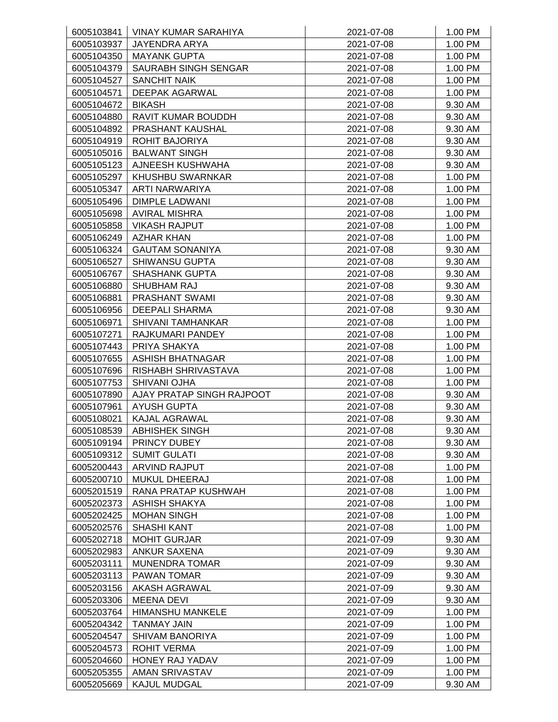|            | 6005103841   VINAY KUMAR SARAHIYA | 2021-07-08 | 1.00 PM |
|------------|-----------------------------------|------------|---------|
| 6005103937 | <b>JAYENDRA ARYA</b>              | 2021-07-08 | 1.00 PM |
| 6005104350 | <b>MAYANK GUPTA</b>               | 2021-07-08 | 1.00 PM |
| 6005104379 | SAURABH SINGH SENGAR              | 2021-07-08 | 1.00 PM |
| 6005104527 | <b>SANCHIT NAIK</b>               | 2021-07-08 | 1.00 PM |
| 6005104571 | DEEPAK AGARWAL                    | 2021-07-08 | 1.00 PM |
| 6005104672 | <b>BIKASH</b>                     | 2021-07-08 | 9.30 AM |
| 6005104880 | RAVIT KUMAR BOUDDH                | 2021-07-08 | 9.30 AM |
| 6005104892 | PRASHANT KAUSHAL                  | 2021-07-08 | 9.30 AM |
| 6005104919 | ROHIT BAJORIYA                    | 2021-07-08 | 9.30 AM |
| 6005105016 | <b>BALWANT SINGH</b>              | 2021-07-08 | 9.30 AM |
| 6005105123 | AJNEESH KUSHWAHA                  | 2021-07-08 | 9.30 AM |
| 6005105297 | KHUSHBU SWARNKAR                  | 2021-07-08 | 1.00 PM |
| 6005105347 | ARTI NARWARIYA                    | 2021-07-08 | 1.00 PM |
| 6005105496 | DIMPLE LADWANI                    | 2021-07-08 | 1.00 PM |
| 6005105698 | <b>AVIRAL MISHRA</b>              | 2021-07-08 | 1.00 PM |
| 6005105858 | <b>VIKASH RAJPUT</b>              | 2021-07-08 | 1.00 PM |
| 6005106249 | <b>AZHAR KHAN</b>                 | 2021-07-08 | 1.00 PM |
| 6005106324 | <b>GAUTAM SONANIYA</b>            | 2021-07-08 | 9.30 AM |
| 6005106527 | <b>SHIWANSU GUPTA</b>             | 2021-07-08 | 9.30 AM |
| 6005106767 | <b>SHASHANK GUPTA</b>             | 2021-07-08 | 9.30 AM |
| 6005106880 | SHUBHAM RAJ                       | 2021-07-08 | 9.30 AM |
| 6005106881 | <b>PRASHANT SWAMI</b>             | 2021-07-08 | 9.30 AM |
| 6005106956 | <b>DEEPALI SHARMA</b>             | 2021-07-08 | 9.30 AM |
| 6005106971 | <b>SHIVANI TAMHANKAR</b>          | 2021-07-08 | 1.00 PM |
| 6005107271 | RAJKUMARI PANDEY                  | 2021-07-08 | 1.00 PM |
| 6005107443 | PRIYA SHAKYA                      | 2021-07-08 | 1.00 PM |
| 6005107655 | ASHISH BHATNAGAR                  | 2021-07-08 | 1.00 PM |
| 6005107696 | RISHABH SHRIVASTAVA               | 2021-07-08 | 1.00 PM |
| 6005107753 | <b>SHIVANI OJHA</b>               | 2021-07-08 | 1.00 PM |
| 6005107890 | AJAY PRATAP SINGH RAJPOOT         | 2021-07-08 | 9.30 AM |
| 6005107961 | <b>AYUSH GUPTA</b>                | 2021-07-08 | 9.30 AM |
| 6005108021 | KAJAL AGRAWAL                     | 2021-07-08 | 9.30 AM |
| 6005108539 | <b>ABHISHEK SINGH</b>             | 2021-07-08 | 9.30 AM |
| 6005109194 | PRINCY DUBEY                      | 2021-07-08 | 9.30 AM |
| 6005109312 | <b>SUMIT GULATI</b>               | 2021-07-08 | 9.30 AM |
| 6005200443 | <b>ARVIND RAJPUT</b>              | 2021-07-08 | 1.00 PM |
| 6005200710 | MUKUL DHEERAJ                     | 2021-07-08 | 1.00 PM |
| 6005201519 | RANA PRATAP KUSHWAH               | 2021-07-08 | 1.00 PM |
| 6005202373 | <b>ASHISH SHAKYA</b>              | 2021-07-08 | 1.00 PM |
| 6005202425 | <b>MOHAN SINGH</b>                | 2021-07-08 | 1.00 PM |
| 6005202576 | <b>SHASHI KANT</b>                | 2021-07-08 | 1.00 PM |
| 6005202718 | <b>MOHIT GURJAR</b>               | 2021-07-09 | 9.30 AM |
| 6005202983 | ANKUR SAXENA                      | 2021-07-09 | 9.30 AM |
| 6005203111 | <b>MUNENDRA TOMAR</b>             | 2021-07-09 | 9.30 AM |
| 6005203113 | PAWAN TOMAR                       | 2021-07-09 | 9.30 AM |
| 6005203156 | AKASH AGRAWAL                     | 2021-07-09 | 9.30 AM |
| 6005203306 | <b>MEENA DEVI</b>                 | 2021-07-09 | 9.30 AM |
| 6005203764 | <b>HIMANSHU MANKELE</b>           | 2021-07-09 | 1.00 PM |
| 6005204342 | <b>TANMAY JAIN</b>                | 2021-07-09 | 1.00 PM |
| 6005204547 | <b>SHIVAM BANORIYA</b>            | 2021-07-09 | 1.00 PM |
| 6005204573 | <b>ROHIT VERMA</b>                | 2021-07-09 | 1.00 PM |
| 6005204660 | <b>HONEY RAJ YADAV</b>            | 2021-07-09 | 1.00 PM |
| 6005205355 | AMAN SRIVASTAV                    | 2021-07-09 | 1.00 PM |
| 6005205669 | KAJUL MUDGAL                      | 2021-07-09 | 9.30 AM |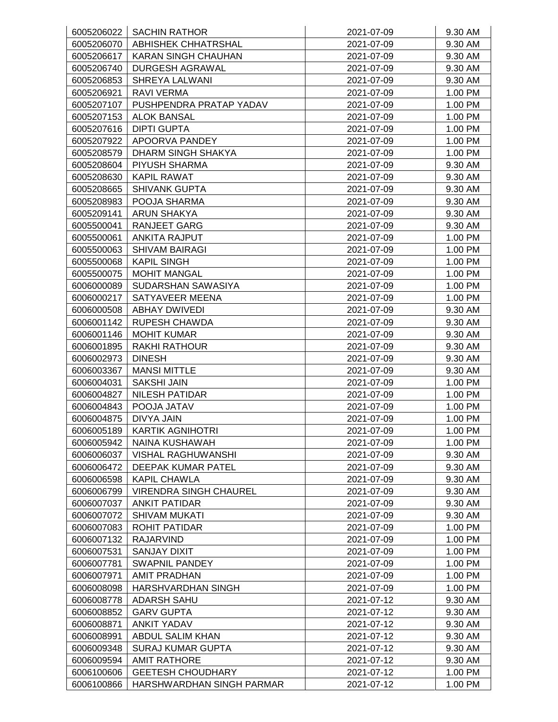| 6005206022 | <b>SACHIN RATHOR</b>                            | 2021-07-09 | 9.30 AM            |
|------------|-------------------------------------------------|------------|--------------------|
| 6005206070 | <b>ABHISHEK CHHATRSHAL</b>                      | 2021-07-09 | 9.30 AM            |
| 6005206617 | KARAN SINGH CHAUHAN                             | 2021-07-09 | 9.30 AM            |
| 6005206740 | DURGESH AGRAWAL                                 | 2021-07-09 | 9.30 AM            |
| 6005206853 | <b>SHREYA LALWANI</b>                           | 2021-07-09 | 9.30 AM            |
| 6005206921 | <b>RAVI VERMA</b>                               | 2021-07-09 | 1.00 PM            |
| 6005207107 | PUSHPENDRA PRATAP YADAV                         | 2021-07-09 | 1.00 PM            |
| 6005207153 | <b>ALOK BANSAL</b>                              | 2021-07-09 | 1.00 PM            |
| 6005207616 | <b>DIPTI GUPTA</b>                              | 2021-07-09 | 1.00 PM            |
| 6005207922 | APOORVA PANDEY                                  | 2021-07-09 | 1.00 PM            |
| 6005208579 | DHARM SINGH SHAKYA                              | 2021-07-09 | 1.00 PM            |
| 6005208604 | PIYUSH SHARMA                                   | 2021-07-09 | 9.30 AM            |
| 6005208630 | <b>KAPIL RAWAT</b>                              | 2021-07-09 | 9.30 AM            |
| 6005208665 | <b>SHIVANK GUPTA</b>                            | 2021-07-09 | 9.30 AM            |
| 6005208983 | POOJA SHARMA                                    | 2021-07-09 | 9.30 AM            |
| 6005209141 | ARUN SHAKYA                                     | 2021-07-09 | 9.30 AM            |
| 6005500041 | <b>RANJEET GARG</b>                             | 2021-07-09 | 9.30 AM            |
| 6005500061 | <b>ANKITA RAJPUT</b>                            | 2021-07-09 | 1.00 PM            |
| 6005500063 | <b>SHIVAM BAIRAGI</b>                           | 2021-07-09 | 1.00 PM            |
| 6005500068 | <b>KAPIL SINGH</b>                              | 2021-07-09 | 1.00 PM            |
| 6005500075 | <b>MOHIT MANGAL</b>                             | 2021-07-09 | 1.00 PM            |
| 6006000089 | SUDARSHAN SAWASIYA                              | 2021-07-09 | 1.00 PM            |
| 6006000217 | SATYAVEER MEENA                                 | 2021-07-09 | 1.00 PM            |
| 6006000508 | <b>ABHAY DWIVEDI</b>                            | 2021-07-09 | 9.30 AM            |
| 6006001142 | <b>RUPESH CHAWDA</b>                            | 2021-07-09 | 9.30 AM            |
| 6006001146 | <b>MOHIT KUMAR</b>                              | 2021-07-09 | 9.30 AM            |
| 6006001895 | <b>RAKHI RATHOUR</b>                            | 2021-07-09 | 9.30 AM            |
| 6006002973 | <b>DINESH</b>                                   | 2021-07-09 | 9.30 AM            |
| 6006003367 | <b>MANSI MITTLE</b>                             | 2021-07-09 | 9.30 AM            |
| 6006004031 | <b>SAKSHI JAIN</b>                              | 2021-07-09 | 1.00 PM            |
| 6006004827 | <b>NILESH PATIDAR</b>                           | 2021-07-09 | 1.00 PM            |
| 6006004843 | POOJA JATAV                                     | 2021-07-09 | 1.00 PM            |
| 6006004875 | DIVYA JAIN                                      | 2021-07-09 | 1.00 PM            |
| 6006005189 | <b>KARTIK AGNIHOTRI</b>                         | 2021-07-09 | 1.00 PM            |
| 6006005942 | <b>NAINA KUSHAWAH</b>                           | 2021-07-09 | 1.00 PM            |
| 6006006037 | <b>VISHAL RAGHUWANSHI</b>                       | 2021-07-09 | 9.30 AM            |
| 6006006472 | DEEPAK KUMAR PATEL                              | 2021-07-09 | 9.30 AM            |
| 6006006598 | <b>KAPIL CHAWLA</b>                             | 2021-07-09 | 9.30 AM            |
| 6006006799 | <b>VIRENDRA SINGH CHAUREL</b>                   | 2021-07-09 | 9.30 AM            |
| 6006007037 | <b>ANKIT PATIDAR</b>                            | 2021-07-09 | 9.30 AM            |
| 6006007072 | <b>SHIVAM MUKATI</b>                            | 2021-07-09 | 9.30 AM            |
| 6006007083 | ROHIT PATIDAR                                   | 2021-07-09 | 1.00 PM            |
| 6006007132 | <b>RAJARVIND</b>                                | 2021-07-09 | 1.00 PM            |
| 6006007531 | SANJAY DIXIT                                    | 2021-07-09 | 1.00 PM            |
| 6006007781 | <b>SWAPNIL PANDEY</b>                           | 2021-07-09 | 1.00 PM            |
| 6006007971 | <b>AMIT PRADHAN</b>                             | 2021-07-09 | 1.00 PM            |
| 6006008098 | HARSHVARDHAN SINGH                              | 2021-07-09 | 1.00 PM            |
| 6006008778 | ADARSH SAHU                                     | 2021-07-12 | 9.30 AM            |
| 6006008852 | <b>GARV GUPTA</b>                               | 2021-07-12 | 9.30 AM            |
|            | <b>ANKIT YADAV</b>                              |            |                    |
| 6006008871 |                                                 | 2021-07-12 | 9.30 AM            |
| 6006008991 | ABDUL SALIM KHAN                                | 2021-07-12 | 9.30 AM            |
| 6006009348 | <b>SURAJ KUMAR GUPTA</b><br><b>AMIT RATHORE</b> | 2021-07-12 | 9.30 AM<br>9.30 AM |
| 6006009594 |                                                 | 2021-07-12 |                    |
| 6006100606 | <b>GEETESH CHOUDHARY</b>                        | 2021-07-12 | 1.00 PM            |
| 6006100866 | HARSHWARDHAN SINGH PARMAR                       | 2021-07-12 | 1.00 PM            |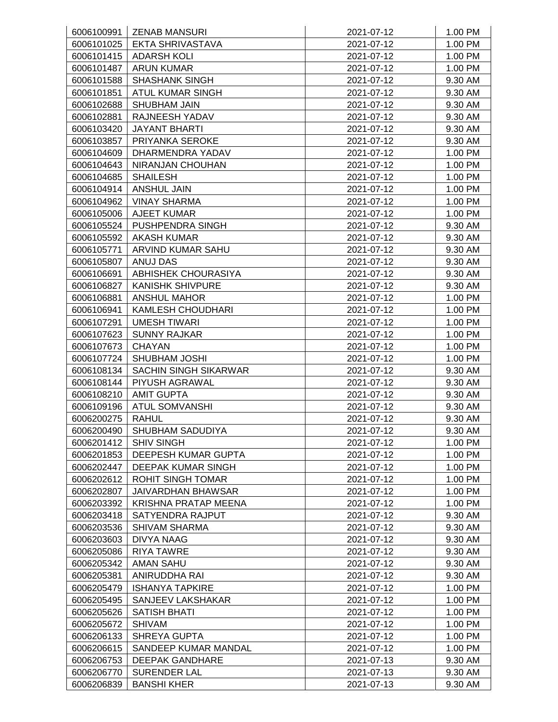| 6006100991 | <b>ZENAB MANSURI</b>                        | 2021-07-12 | 1.00 PM |
|------------|---------------------------------------------|------------|---------|
| 6006101025 | <b>EKTA SHRIVASTAVA</b>                     | 2021-07-12 | 1.00 PM |
| 6006101415 | <b>ADARSH KOLI</b>                          | 2021-07-12 | 1.00 PM |
| 6006101487 | <b>ARUN KUMAR</b>                           | 2021-07-12 | 1.00 PM |
| 6006101588 | <b>SHASHANK SINGH</b>                       | 2021-07-12 | 9.30 AM |
| 6006101851 | ATUL KUMAR SINGH                            | 2021-07-12 | 9.30 AM |
| 6006102688 | <b>SHUBHAM JAIN</b>                         | 2021-07-12 | 9.30 AM |
| 6006102881 | RAJNEESH YADAV                              | 2021-07-12 | 9.30 AM |
| 6006103420 | <b>JAYANT BHARTI</b>                        | 2021-07-12 | 9.30 AM |
| 6006103857 | PRIYANKA SEROKE                             | 2021-07-12 | 9.30 AM |
| 6006104609 | DHARMENDRA YADAV                            | 2021-07-12 | 1.00 PM |
| 6006104643 | NIRANJAN CHOUHAN                            | 2021-07-12 | 1.00 PM |
| 6006104685 | <b>SHAILESH</b>                             | 2021-07-12 | 1.00 PM |
| 6006104914 | <b>ANSHUL JAIN</b>                          | 2021-07-12 | 1.00 PM |
| 6006104962 | <b>VINAY SHARMA</b>                         | 2021-07-12 | 1.00 PM |
| 6006105006 | <b>AJEET KUMAR</b>                          | 2021-07-12 | 1.00 PM |
| 6006105524 | PUSHPENDRA SINGH                            | 2021-07-12 | 9.30 AM |
| 6006105592 | <b>AKASH KUMAR</b>                          | 2021-07-12 | 9.30 AM |
| 6006105771 | ARVIND KUMAR SAHU                           | 2021-07-12 | 9.30 AM |
| 6006105807 | ANUJ DAS                                    | 2021-07-12 | 9.30 AM |
| 6006106691 | ABHISHEK CHOURASIYA                         | 2021-07-12 | 9.30 AM |
| 6006106827 | <b>KANISHK SHIVPURE</b>                     | 2021-07-12 | 9.30 AM |
| 6006106881 | <b>ANSHUL MAHOR</b>                         | 2021-07-12 | 1.00 PM |
| 6006106941 | KAMLESH CHOUDHARI                           | 2021-07-12 | 1.00 PM |
| 6006107291 | <b>UMESH TIWARI</b>                         | 2021-07-12 | 1.00 PM |
| 6006107623 | <b>SUNNY RAJKAR</b>                         | 2021-07-12 | 1.00 PM |
| 6006107673 | <b>CHAYAN</b>                               | 2021-07-12 | 1.00 PM |
| 6006107724 | <b>SHUBHAM JOSHI</b>                        | 2021-07-12 | 1.00 PM |
| 6006108134 | <b>SACHIN SINGH SIKARWAR</b>                | 2021-07-12 | 9.30 AM |
| 6006108144 | PIYUSH AGRAWAL                              | 2021-07-12 | 9.30 AM |
| 6006108210 | <b>AMIT GUPTA</b>                           | 2021-07-12 | 9.30 AM |
| 6006109196 | <b>ATUL SOMVANSHI</b>                       | 2021-07-12 | 9.30 AM |
| 6006200275 | <b>RAHUL</b>                                | 2021-07-12 | 9.30 AM |
| 6006200490 | SHUBHAM SADUDIYA                            | 2021-07-12 | 9.30 AM |
| 6006201412 | <b>SHIV SINGH</b>                           | 2021-07-12 | 1.00 PM |
| 6006201853 | DEEPESH KUMAR GUPTA                         | 2021-07-12 | 1.00 PM |
| 6006202447 | DEEPAK KUMAR SINGH                          | 2021-07-12 | 1.00 PM |
| 6006202612 | <b>ROHIT SINGH TOMAR</b>                    | 2021-07-12 | 1.00 PM |
| 6006202807 | JAIVARDHAN BHAWSAR                          | 2021-07-12 | 1.00 PM |
| 6006203392 | <b>KRISHNA PRATAP MEENA</b>                 | 2021-07-12 | 1.00 PM |
| 6006203418 | SATYENDRA RAJPUT                            | 2021-07-12 | 9.30 AM |
| 6006203536 | <b>SHIVAM SHARMA</b>                        | 2021-07-12 | 9.30 AM |
| 6006203603 | <b>DIVYA NAAG</b>                           | 2021-07-12 | 9.30 AM |
| 6006205086 | RIYA TAWRE                                  | 2021-07-12 | 9.30 AM |
| 6006205342 | <b>AMAN SAHU</b>                            | 2021-07-12 |         |
|            |                                             |            | 9.30 AM |
| 6006205381 | ANIRUDDHA RAI                               | 2021-07-12 | 9.30 AM |
| 6006205479 | <b>ISHANYA TAPKIRE</b><br>SANJEEV LAKSHAKAR | 2021-07-12 | 1.00 PM |
| 6006205495 |                                             | 2021-07-12 | 1.00 PM |
| 6006205626 | <b>SATISH BHATI</b>                         | 2021-07-12 | 1.00 PM |
| 6006205672 | <b>SHIVAM</b>                               | 2021-07-12 | 1.00 PM |
| 6006206133 | <b>SHREYA GUPTA</b>                         | 2021-07-12 | 1.00 PM |
| 6006206615 | SANDEEP KUMAR MANDAL                        | 2021-07-12 | 1.00 PM |
| 6006206753 | DEEPAK GANDHARE                             | 2021-07-13 | 9.30 AM |
| 6006206770 | SURENDER LAL                                | 2021-07-13 | 9.30 AM |
| 6006206839 | <b>BANSHI KHER</b>                          | 2021-07-13 | 9.30 AM |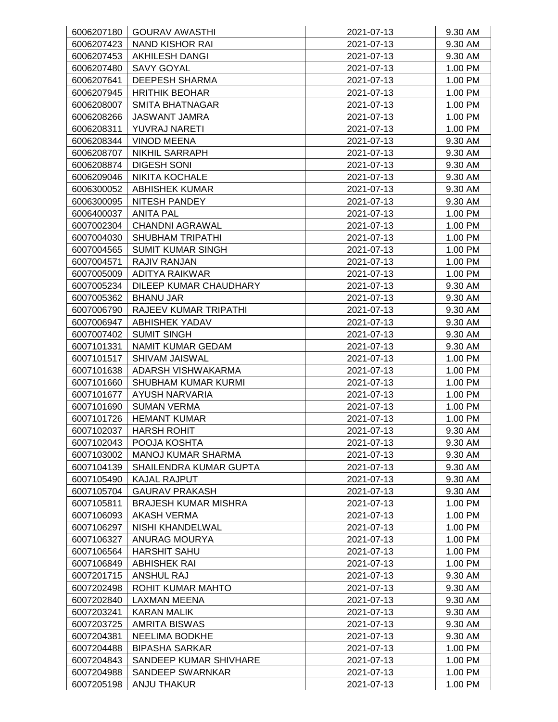| 6006207180 | <b>GOURAV AWASTHI</b>       | 2021-07-13 | 9.30 AM |
|------------|-----------------------------|------------|---------|
| 6006207423 | <b>NAND KISHOR RAI</b>      | 2021-07-13 | 9.30 AM |
| 6006207453 | AKHILESH DANGI              | 2021-07-13 | 9.30 AM |
| 6006207480 | SAVY GOYAL                  | 2021-07-13 | 1.00 PM |
| 6006207641 | <b>DEEPESH SHARMA</b>       | 2021-07-13 | 1.00 PM |
| 6006207945 | <b>HRITHIK BEOHAR</b>       | 2021-07-13 | 1.00 PM |
| 6006208007 | <b>SMITA BHATNAGAR</b>      | 2021-07-13 | 1.00 PM |
| 6006208266 | <b>JASWANT JAMRA</b>        | 2021-07-13 | 1.00 PM |
| 6006208311 | YUVRAJ NARETI               | 2021-07-13 | 1.00 PM |
| 6006208344 | <b>VINOD MEENA</b>          | 2021-07-13 | 9.30 AM |
| 6006208707 | <b>NIKHIL SARRAPH</b>       | 2021-07-13 | 9.30 AM |
| 6006208874 | <b>DIGESH SONI</b>          | 2021-07-13 | 9.30 AM |
| 6006209046 | <b>NIKITA KOCHALE</b>       | 2021-07-13 | 9.30 AM |
| 6006300052 | <b>ABHISHEK KUMAR</b>       | 2021-07-13 | 9.30 AM |
| 6006300095 | NITESH PANDEY               | 2021-07-13 | 9.30 AM |
| 6006400037 | <b>ANITA PAL</b>            | 2021-07-13 | 1.00 PM |
| 6007002304 | <b>CHANDNI AGRAWAL</b>      | 2021-07-13 | 1.00 PM |
| 6007004030 | <b>SHUBHAM TRIPATHI</b>     | 2021-07-13 | 1.00 PM |
| 6007004565 | <b>SUMIT KUMAR SINGH</b>    | 2021-07-13 | 1.00 PM |
| 6007004571 | RAJIV RANJAN                | 2021-07-13 | 1.00 PM |
|            | <b>ADITYA RAIKWAR</b>       | 2021-07-13 | 1.00 PM |
| 6007005009 |                             |            |         |
| 6007005234 | DILEEP KUMAR CHAUDHARY      | 2021-07-13 | 9.30 AM |
| 6007005362 | <b>BHANU JAR</b>            | 2021-07-13 | 9.30 AM |
| 6007006790 | RAJEEV KUMAR TRIPATHI       | 2021-07-13 | 9.30 AM |
| 6007006947 | <b>ABHISHEK YADAV</b>       | 2021-07-13 | 9.30 AM |
| 6007007402 | <b>SUMIT SINGH</b>          | 2021-07-13 | 9.30 AM |
| 6007101331 | NAMIT KUMAR GEDAM           | 2021-07-13 | 9.30 AM |
| 6007101517 | SHIVAM JAISWAL              | 2021-07-13 | 1.00 PM |
| 6007101638 | ADARSH VISHWAKARMA          | 2021-07-13 | 1.00 PM |
| 6007101660 | <b>SHUBHAM KUMAR KURMI</b>  | 2021-07-13 | 1.00 PM |
| 6007101677 | <b>AYUSH NARVARIA</b>       | 2021-07-13 | 1.00 PM |
| 6007101690 | <b>SUMAN VERMA</b>          | 2021-07-13 | 1.00 PM |
| 6007101726 | <b>HEMANT KUMAR</b>         | 2021-07-13 | 1.00 PM |
| 6007102037 | <b>HARSH ROHIT</b>          | 2021-07-13 | 9.30 AM |
| 6007102043 | POOJA KOSHTA                | 2021-07-13 | 9.30 AM |
| 6007103002 | <b>MANOJ KUMAR SHARMA</b>   | 2021-07-13 | 9.30 AM |
| 6007104139 | SHAILENDRA KUMAR GUPTA      | 2021-07-13 | 9.30 AM |
| 6007105490 | KAJAL RAJPUT                | 2021-07-13 | 9.30 AM |
| 6007105704 | <b>GAURAV PRAKASH</b>       | 2021-07-13 | 9.30 AM |
| 6007105811 | <b>BRAJESH KUMAR MISHRA</b> | 2021-07-13 | 1.00 PM |
| 6007106093 | <b>AKASH VERMA</b>          | 2021-07-13 | 1.00 PM |
| 6007106297 | NISHI KHANDELWAL            | 2021-07-13 | 1.00 PM |
| 6007106327 | <b>ANURAG MOURYA</b>        | 2021-07-13 | 1.00 PM |
| 6007106564 | <b>HARSHIT SAHU</b>         | 2021-07-13 | 1.00 PM |
| 6007106849 | <b>ABHISHEK RAI</b>         | 2021-07-13 | 1.00 PM |
| 6007201715 | <b>ANSHUL RAJ</b>           | 2021-07-13 | 9.30 AM |
| 6007202498 | ROHIT KUMAR MAHTO           | 2021-07-13 | 9.30 AM |
| 6007202840 | LAXMAN MEENA                | 2021-07-13 | 9.30 AM |
| 6007203241 | KARAN MALIK                 | 2021-07-13 | 9.30 AM |
| 6007203725 | <b>AMRITA BISWAS</b>        | 2021-07-13 | 9.30 AM |
| 6007204381 | <b>NEELIMA BODKHE</b>       | 2021-07-13 | 9.30 AM |
| 6007204488 | <b>BIPASHA SARKAR</b>       | 2021-07-13 | 1.00 PM |
| 6007204843 | SANDEEP KUMAR SHIVHARE      | 2021-07-13 | 1.00 PM |
| 6007204988 | SANDEEP SWARNKAR            | 2021-07-13 | 1.00 PM |
| 6007205198 | ANJU THAKUR                 | 2021-07-13 | 1.00 PM |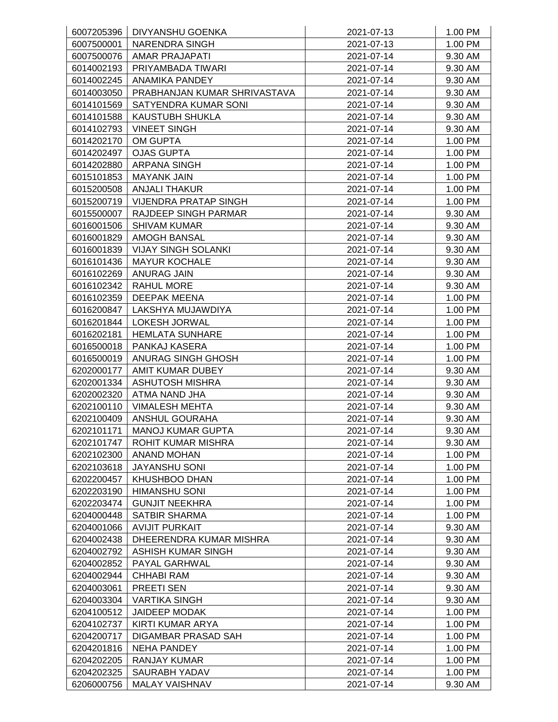| 6007205396 | DIVYANSHU GOENKA             | 2021-07-13 | 1.00 PM |
|------------|------------------------------|------------|---------|
| 6007500001 | <b>NARENDRA SINGH</b>        | 2021-07-13 | 1.00 PM |
|            | 6007500076   AMAR PRAJAPATI  | 2021-07-14 | 9.30 AM |
| 6014002193 | PRIYAMBADA TIWARI            | 2021-07-14 | 9.30 AM |
| 6014002245 | <b>ANAMIKA PANDEY</b>        | 2021-07-14 | 9.30 AM |
| 6014003050 | PRABHANJAN KUMAR SHRIVASTAVA | 2021-07-14 | 9.30 AM |
| 6014101569 | SATYENDRA KUMAR SONI         | 2021-07-14 | 9.30 AM |
| 6014101588 | <b>KAUSTUBH SHUKLA</b>       | 2021-07-14 | 9.30 AM |
| 6014102793 | <b>VINEET SINGH</b>          | 2021-07-14 | 9.30 AM |
| 6014202170 | <b>OM GUPTA</b>              | 2021-07-14 | 1.00 PM |
| 6014202497 | <b>OJAS GUPTA</b>            | 2021-07-14 | 1.00 PM |
| 6014202880 | <b>ARPANA SINGH</b>          | 2021-07-14 | 1.00 PM |
| 6015101853 | <b>MAYANK JAIN</b>           | 2021-07-14 | 1.00 PM |
| 6015200508 | <b>ANJALI THAKUR</b>         | 2021-07-14 | 1.00 PM |
| 6015200719 | VIJENDRA PRATAP SINGH        | 2021-07-14 | 1.00 PM |
| 6015500007 | RAJDEEP SINGH PARMAR         | 2021-07-14 | 9.30 AM |
| 6016001506 | <b>SHIVAM KUMAR</b>          | 2021-07-14 | 9.30 AM |
| 6016001829 | AMOGH BANSAL                 | 2021-07-14 | 9.30 AM |
| 6016001839 | <b>VIJAY SINGH SOLANKI</b>   | 2021-07-14 | 9.30 AM |
| 6016101436 | <b>MAYUR KOCHALE</b>         | 2021-07-14 | 9.30 AM |
| 6016102269 | <b>ANURAG JAIN</b>           | 2021-07-14 | 9.30 AM |
|            |                              |            |         |
| 6016102342 | <b>RAHUL MORE</b>            | 2021-07-14 | 9.30 AM |
| 6016102359 | DEEPAK MEENA                 | 2021-07-14 | 1.00 PM |
| 6016200847 | LAKSHYA MUJAWDIYA            | 2021-07-14 | 1.00 PM |
| 6016201844 | <b>LOKESH JORWAL</b>         | 2021-07-14 | 1.00 PM |
| 6016202181 | <b>HEMLATA SUNHARE</b>       | 2021-07-14 | 1.00 PM |
| 6016500018 | PANKAJ KASERA                | 2021-07-14 | 1.00 PM |
| 6016500019 | ANURAG SINGH GHOSH           | 2021-07-14 | 1.00 PM |
| 6202000177 | AMIT KUMAR DUBEY             | 2021-07-14 | 9.30 AM |
| 6202001334 | <b>ASHUTOSH MISHRA</b>       | 2021-07-14 | 9.30 AM |
| 6202002320 | ATMA NAND JHA                | 2021-07-14 | 9.30 AM |
| 6202100110 | <b>VIMALESH MEHTA</b>        | 2021-07-14 | 9.30 AM |
| 6202100409 | ANSHUL GOURAHA               | 2021-07-14 | 9.30 AM |
| 6202101171 | MANOJ KUMAR GUPTA            | 2021-07-14 | 9.30 AM |
| 6202101747 | <b>ROHIT KUMAR MISHRA</b>    | 2021-07-14 | 9.30 AM |
| 6202102300 | <b>ANAND MOHAN</b>           | 2021-07-14 | 1.00 PM |
| 6202103618 | <b>JAYANSHU SONI</b>         | 2021-07-14 | 1.00 PM |
| 6202200457 | KHUSHBOO DHAN                | 2021-07-14 | 1.00 PM |
| 6202203190 | <b>HIMANSHU SONI</b>         | 2021-07-14 | 1.00 PM |
| 6202203474 | <b>GUNJIT NEEKHRA</b>        | 2021-07-14 | 1.00 PM |
| 6204000448 | <b>SATBIR SHARMA</b>         | 2021-07-14 | 1.00 PM |
| 6204001066 | <b>AVIJIT PURKAIT</b>        | 2021-07-14 | 9.30 AM |
| 6204002438 | DHEERENDRA KUMAR MISHRA      | 2021-07-14 | 9.30 AM |
| 6204002792 | ASHISH KUMAR SINGH           | 2021-07-14 | 9.30 AM |
| 6204002852 | PAYAL GARHWAL                | 2021-07-14 | 9.30 AM |
| 6204002944 | <b>CHHABI RAM</b>            | 2021-07-14 | 9.30 AM |
| 6204003061 | PREETI SEN                   | 2021-07-14 | 9.30 AM |
| 6204003304 | <b>VARTIKA SINGH</b>         | 2021-07-14 | 9.30 AM |
| 6204100512 | <b>JAIDEEP MODAK</b>         | 2021-07-14 | 1.00 PM |
| 6204102737 | KIRTI KUMAR ARYA             | 2021-07-14 | 1.00 PM |
| 6204200717 | DIGAMBAR PRASAD SAH          | 2021-07-14 | 1.00 PM |
| 6204201816 | <b>NEHA PANDEY</b>           | 2021-07-14 | 1.00 PM |
| 6204202205 | RANJAY KUMAR                 | 2021-07-14 | 1.00 PM |
| 6204202325 | SAURABH YADAV                | 2021-07-14 | 1.00 PM |
| 6206000756 | MALAY VAISHNAV               | 2021-07-14 | 9.30 AM |